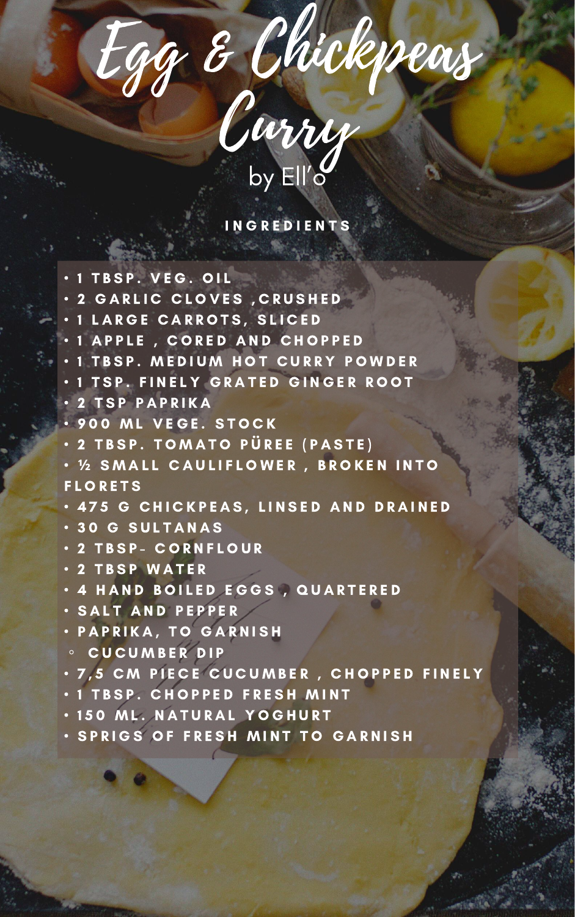Egg & Chickpeas

## INGREDIENTS

- $\cdot$  1 TBSP. VEG. OIL
- 2 GARLIC CLOVES, CRUSHED
- 1 L A R G E C A R R O T S , S L I C E D
- 1 A P P L E , C O R E D A N D C H O P P E D
- 1 TBSP. MEDIUM HOT CURRY POWDER
- $\cdot$  1 TSP. FINELY GRATED GINGER ROOT
- 2 T S P P A P R I K A
- 900 ML VEGE. STOCK
- 2 T B S P . T O M A T O P Ü R E E ( P A S T E )
- **½** S M A L L C A U L I F L O W E R , B R O K E N I N T O **FLORETS**



- 4 7 5 G C H I C K P E A S , L I N S E D A N D D R A I N E D
- 3 0 G S U L T A N A S
- 2 T B S P C O R N F L O U R
- 2 T B S P W A T E R
- 4 HAND BOILED EGGS, QUARTERED
- S A L T A N D P E P P E R
- PAPRIKA, TO GARNISH
- C U C U M B E R D I P
- 7,5 CM PIECE CUCUMBER, CHOPPED FINELY
- 1 TBSP. CHOPPED FRESH MINT
- 150 ML. NATURAL YOGHURT
- SPRIGS OF FRESH MINT TO GARNISH